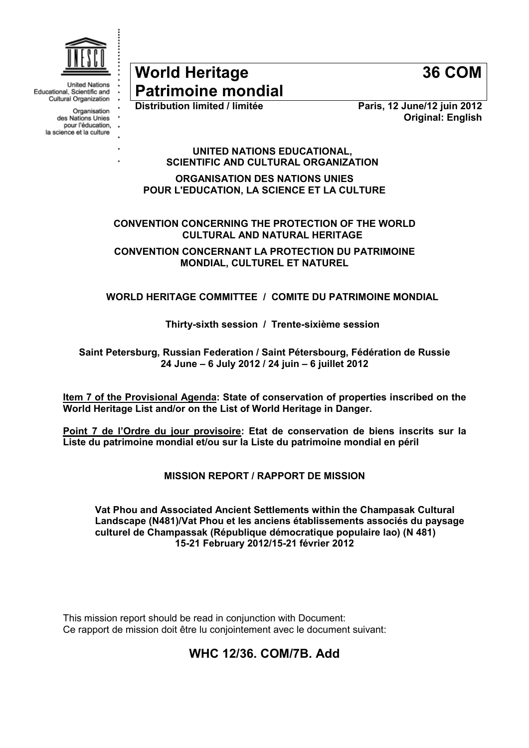

**United Nations** Educational, Scientific and Cultural Organization

Organisation

des Nations Unies pour l'éducation,

la science et la culture

# World Heritage **Patrimoine mondial**<br>Distribution limited / limitée

36 COM

Paris, 12 June/12 juin 2012 Original: English

UNITED NATIONS EDUCATIONAL, SCIENTIFIC AND CULTURAL ORGANIZATION

ORGANISATION DES NATIONS UNIES POUR L'EDUCATION, LA SCIENCE ET LA CULTURE

CONVENTION CONCERNING THE PROTECTION OF THE WORLD CULTURAL AND NATURAL HERITAGE

CONVENTION CONCERNANT LA PROTECTION DU PATRIMOINE MONDIAL, CULTUREL ET NATUREL

WORLD HERITAGE COMMITTEE / COMITE DU PATRIMOINE MONDIAL

Thirty-sixth session / Trente-sixième session

Saint Petersburg, Russian Federation / Saint Pétersbourg, Fédération de Russie 24 June – 6 July 2012 / 24 juin – 6 juillet 2012

Item 7 of the Provisional Agenda: State of conservation of properties inscribed on the World Heritage List and/or on the List of World Heritage in Danger.

Point 7 de l'Ordre du jour provisoire: Etat de conservation de biens inscrits sur la Liste du patrimoine mondial et/ou sur la Liste du patrimoine mondial en péril

MISSION REPORT / RAPPORT DE MISSION

Vat Phou and Associated Ancient Settlements within the Champasak Cultural Landscape (N481)/Vat Phou et les anciens établissements associés du paysage culturel de Champassak (République démocratique populaire lao) (N 481) 15-21 February 2012/15-21 février 2012

This mission report should be read in conjunction with Document: Ce rapport de mission doit être lu conjointement avec le document suivant:

# WHC 12/36. COM/7B. Add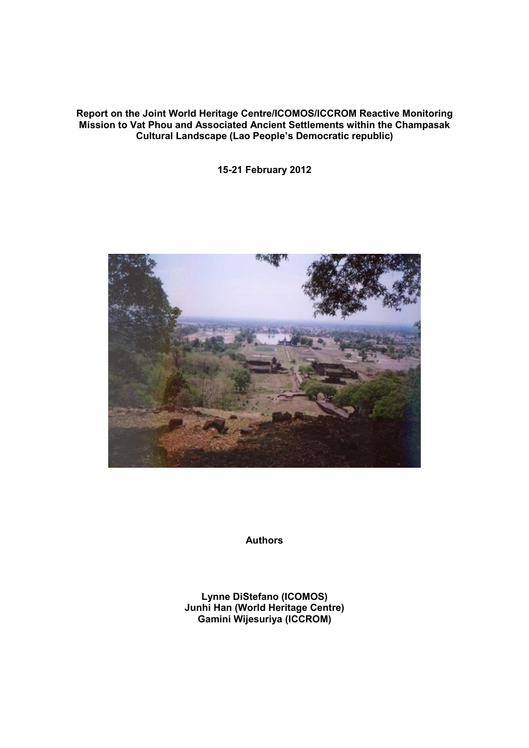#### Report on the Joint World Heritage Centre/ICOMOS/ICCROM Reactive Monitoring Mission to Vat Phou and Associated Ancient Settlements within the Champasak Cultural Landscape (Lao People's Democratic republic)

15-21 February 2012



Authors

Lynne DiStefano (ICOMOS) Junhi Han (World Heritage Centre) Gamini Wijesuriya (ICCROM)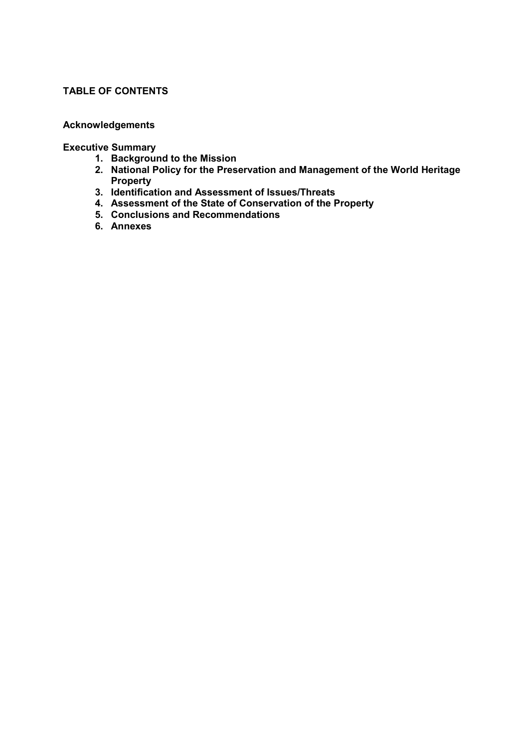#### TABLE OF CONTENTS

## Acknowledgements

#### Executive Summary

- 1. Background to the Mission
- 2. National Policy for the Preservation and Management of the World Heritage Property
- 3. Identification and Assessment of Issues/Threats
- 4. Assessment of the State of Conservation of the Property
- 5. Conclusions and Recommendations
- 6. Annexes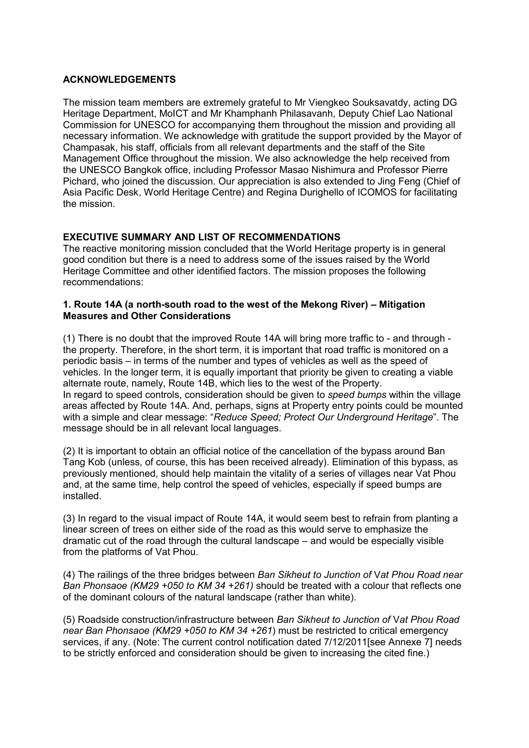#### ACKNOWLEDGEMENTS

The mission team members are extremely grateful to Mr Viengkeo Souksavatdy, acting DG Heritage Department, MoICT and Mr Khamphanh Philasavanh, Deputy Chief Lao National Commission for UNESCO for accompanying them throughout the mission and providing all necessary information. We acknowledge with gratitude the support provided by the Mayor of Champasak, his staff, officials from all relevant departments and the staff of the Site Management Office throughout the mission. We also acknowledge the help received from the UNESCO Bangkok office, including Professor Masao Nishimura and Professor Pierre Pichard, who joined the discussion. Our appreciation is also extended to Jing Feng (Chief of Asia Pacific Desk, World Heritage Centre) and Regina Durighello of ICOMOS for facilitating the mission.

## EXECUTIVE SUMMARY AND LIST OF RECOMMENDATIONS

The reactive monitoring mission concluded that the World Heritage property is in general good condition but there is a need to address some of the issues raised by the World Heritage Committee and other identified factors. The mission proposes the following recommendations:

#### 1. Route 14A (a north-south road to the west of the Mekong River) – Mitigation Measures and Other Considerations

(1) There is no doubt that the improved Route 14A will bring more traffic to - and through the property. Therefore, in the short term, it is important that road traffic is monitored on a periodic basis – in terms of the number and types of vehicles as well as the speed of vehicles. In the longer term, it is equally important that priority be given to creating a viable alternate route, namely, Route 14B, which lies to the west of the Property. In regard to speed controls, consideration should be given to *speed bumps* within the village areas affected by Route 14A. And, perhaps, signs at Property entry points could be mounted with a simple and clear message: "*Reduce Speed; Protect Our Underground Heritage*". The message should be in all relevant local languages.

(2) It is important to obtain an official notice of the cancellation of the bypass around Ban Tang Kob (unless, of course, this has been received already). Elimination of this bypass, as previously mentioned, should help maintain the vitality of a series of villages near Vat Phou and, at the same time, help control the speed of vehicles, especially if speed bumps are installed.

(3) In regard to the visual impact of Route 14A, it would seem best to refrain from planting a linear screen of trees on either side of the road as this would serve to emphasize the dramatic cut of the road through the cultural landscape – and would be especially visible from the platforms of Vat Phou.

(4) The railings of the three bridges between *Ban Sikheut to Junction of* V*at Phou Road near Ban Phonsaoe (KM29 +050 to KM 34 +261)* should be treated with a colour that reflects one of the dominant colours of the natural landscape (rather than white).

(5) Roadside construction/infrastructure between *Ban Sikheut to Junction of* V*at Phou Road near Ban Phonsaoe (KM29 +050 to KM 34 +261*) must be restricted to critical emergency services, if any. (Note: The current control notification dated 7/12/2011[see Annexe 7] needs to be strictly enforced and consideration should be given to increasing the cited fine.)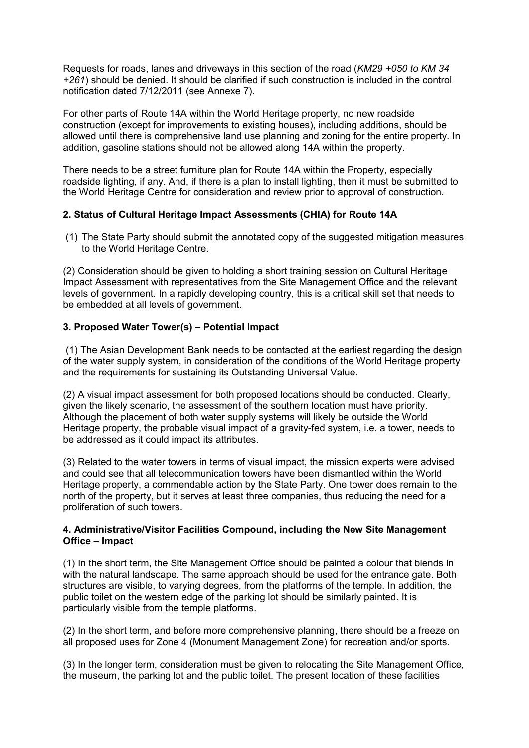Requests for roads, lanes and driveways in this section of the road (*KM29 +050 to KM 34 +261*) should be denied. It should be clarified if such construction is included in the control notification dated 7/12/2011 (see Annexe 7).

For other parts of Route 14A within the World Heritage property, no new roadside construction (except for improvements to existing houses), including additions, should be allowed until there is comprehensive land use planning and zoning for the entire property. In addition, gasoline stations should not be allowed along 14A within the property.

There needs to be a street furniture plan for Route 14A within the Property, especially roadside lighting, if any. And, if there is a plan to install lighting, then it must be submitted to the World Heritage Centre for consideration and review prior to approval of construction.

## 2. Status of Cultural Heritage Impact Assessments (CHIA) for Route 14A

(1) The State Party should submit the annotated copy of the suggested mitigation measures to the World Heritage Centre.

(2) Consideration should be given to holding a short training session on Cultural Heritage Impact Assessment with representatives from the Site Management Office and the relevant levels of government. In a rapidly developing country, this is a critical skill set that needs to be embedded at all levels of government.

## 3. Proposed Water Tower(s) – Potential Impact

(1) The Asian Development Bank needs to be contacted at the earliest regarding the design of the water supply system, in consideration of the conditions of the World Heritage property and the requirements for sustaining its Outstanding Universal Value.

(2) A visual impact assessment for both proposed locations should be conducted. Clearly, given the likely scenario, the assessment of the southern location must have priority. Although the placement of both water supply systems will likely be outside the World Heritage property, the probable visual impact of a gravity-fed system, i.e. a tower, needs to be addressed as it could impact its attributes.

(3) Related to the water towers in terms of visual impact, the mission experts were advised and could see that all telecommunication towers have been dismantled within the World Heritage property, a commendable action by the State Party. One tower does remain to the north of the property, but it serves at least three companies, thus reducing the need for a proliferation of such towers.

#### 4. Administrative/Visitor Facilities Compound, including the New Site Management Office – Impact

(1) In the short term, the Site Management Office should be painted a colour that blends in with the natural landscape. The same approach should be used for the entrance gate. Both structures are visible, to varying degrees, from the platforms of the temple. In addition, the public toilet on the western edge of the parking lot should be similarly painted. It is particularly visible from the temple platforms.

(2) In the short term, and before more comprehensive planning, there should be a freeze on all proposed uses for Zone 4 (Monument Management Zone) for recreation and/or sports.

(3) In the longer term, consideration must be given to relocating the Site Management Office, the museum, the parking lot and the public toilet. The present location of these facilities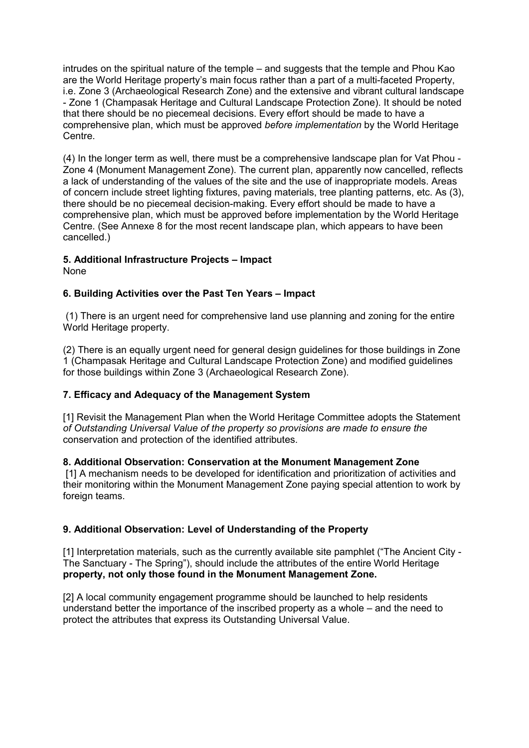intrudes on the spiritual nature of the temple – and suggests that the temple and Phou Kao are the World Heritage property's main focus rather than a part of a multi-faceted Property, i.e. Zone 3 (Archaeological Research Zone) and the extensive and vibrant cultural landscape - Zone 1 (Champasak Heritage and Cultural Landscape Protection Zone). It should be noted that there should be no piecemeal decisions. Every effort should be made to have a comprehensive plan, which must be approved *before implementation* by the World Heritage Centre.

(4) In the longer term as well, there must be a comprehensive landscape plan for Vat Phou - Zone 4 (Monument Management Zone). The current plan, apparently now cancelled, reflects a lack of understanding of the values of the site and the use of inappropriate models. Areas of concern include street lighting fixtures, paving materials, tree planting patterns, etc. As (3), there should be no piecemeal decision-making. Every effort should be made to have a comprehensive plan, which must be approved before implementation by the World Heritage Centre. (See Annexe 8 for the most recent landscape plan, which appears to have been cancelled.)

## 5. Additional Infrastructure Projects – Impact

None

## 6. Building Activities over the Past Ten Years – Impact

(1) There is an urgent need for comprehensive land use planning and zoning for the entire World Heritage property.

(2) There is an equally urgent need for general design guidelines for those buildings in Zone 1 (Champasak Heritage and Cultural Landscape Protection Zone) and modified guidelines for those buildings within Zone 3 (Archaeological Research Zone).

## 7. Efficacy and Adequacy of the Management System

[1] Revisit the Management Plan when the World Heritage Committee adopts the Statement *of Outstanding Universal Value of the property so provisions are made to ensure the* conservation and protection of the identified attributes.

## 8. Additional Observation: Conservation at the Monument Management Zone

[1] A mechanism needs to be developed for identification and prioritization of activities and their monitoring within the Monument Management Zone paying special attention to work by foreign teams.

## 9. Additional Observation: Level of Understanding of the Property

[1] Interpretation materials, such as the currently available site pamphlet ("The Ancient City - The Sanctuary - The Spring"), should include the attributes of the entire World Heritage property, not only those found in the Monument Management Zone.

[2] A local community engagement programme should be launched to help residents understand better the importance of the inscribed property as a whole – and the need to protect the attributes that express its Outstanding Universal Value.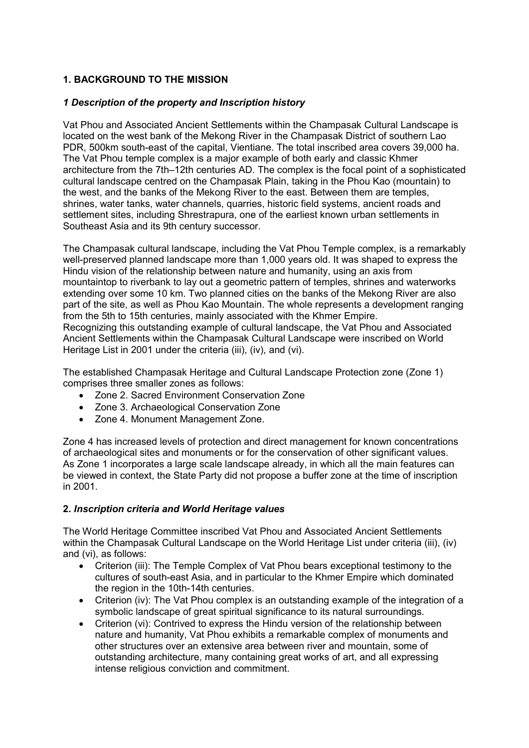## 1. BACKGROUND TO THE MISSION

## *1 Description of the property and Inscription history*

Vat Phou and Associated Ancient Settlements within the Champasak Cultural Landscape is located on the west bank of the Mekong River in the Champasak District of southern Lao PDR, 500km south-east of the capital, Vientiane. The total inscribed area covers 39,000 ha. The Vat Phou temple complex is a major example of both early and classic Khmer architecture from the 7th–12th centuries AD. The complex is the focal point of a sophisticated cultural landscape centred on the Champasak Plain, taking in the Phou Kao (mountain) to the west, and the banks of the Mekong River to the east. Between them are temples, shrines, water tanks, water channels, quarries, historic field systems, ancient roads and settlement sites, including Shrestrapura, one of the earliest known urban settlements in Southeast Asia and its 9th century successor.

The Champasak cultural landscape, including the Vat Phou Temple complex, is a remarkably well-preserved planned landscape more than 1,000 years old. It was shaped to express the Hindu vision of the relationship between nature and humanity, using an axis from mountaintop to riverbank to lay out a geometric pattern of temples, shrines and waterworks extending over some 10 km. Two planned cities on the banks of the Mekong River are also part of the site, as well as Phou Kao Mountain. The whole represents a development ranging from the 5th to 15th centuries, mainly associated with the Khmer Empire. Recognizing this outstanding example of cultural landscape, the Vat Phou and Associated Ancient Settlements within the Champasak Cultural Landscape were inscribed on World Heritage List in 2001 under the criteria (iii), (iv), and (vi).

The established Champasak Heritage and Cultural Landscape Protection zone (Zone 1) comprises three smaller zones as follows:

- Zone 2. Sacred Environment Conservation Zone
- Zone 3. Archaeological Conservation Zone
- Zone 4. Monument Management Zone.

Zone 4 has increased levels of protection and direct management for known concentrations of archaeological sites and monuments or for the conservation of other significant values. As Zone 1 incorporates a large scale landscape already, in which all the main features can be viewed in context, the State Party did not propose a buffer zone at the time of inscription in 2001.

#### 2. *Inscription criteria and World Heritage values*

The World Heritage Committee inscribed Vat Phou and Associated Ancient Settlements within the Champasak Cultural Landscape on the World Heritage List under criteria (iii), (iv) and (vi), as follows:

- Criterion (iii): The Temple Complex of Vat Phou bears exceptional testimony to the cultures of south-east Asia, and in particular to the Khmer Empire which dominated the region in the 10th-14th centuries.
- Criterion (iv): The Vat Phou complex is an outstanding example of the integration of a symbolic landscape of great spiritual significance to its natural surroundings.
- Criterion (vi): Contrived to express the Hindu version of the relationship between nature and humanity, Vat Phou exhibits a remarkable complex of monuments and other structures over an extensive area between river and mountain, some of outstanding architecture, many containing great works of art, and all expressing intense religious conviction and commitment.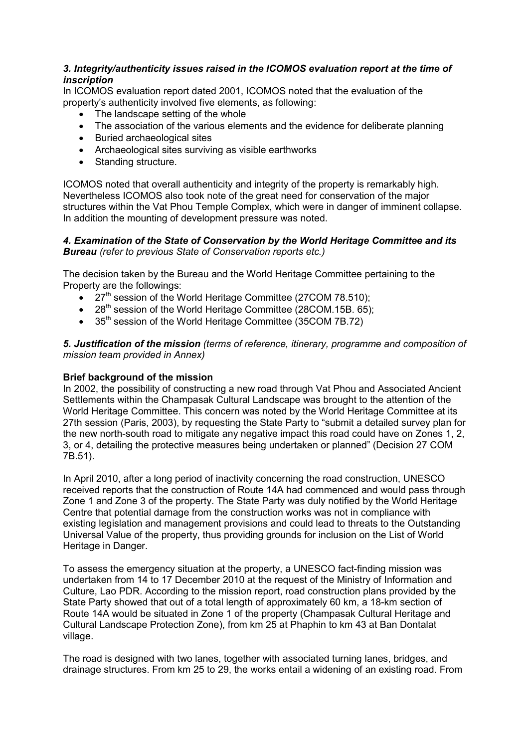#### *3. Integrity/authenticity issues raised in the ICOMOS evaluation report at the time of inscription*

In ICOMOS evaluation report dated 2001, ICOMOS noted that the evaluation of the property's authenticity involved five elements, as following:

- The landscape setting of the whole
- The association of the various elements and the evidence for deliberate planning
- Buried archaeological sites
- Archaeological sites surviving as visible earthworks
- Standing structure.

ICOMOS noted that overall authenticity and integrity of the property is remarkably high. Nevertheless ICOMOS also took note of the great need for conservation of the major structures within the Vat Phou Temple Complex, which were in danger of imminent collapse. In addition the mounting of development pressure was noted.

#### *4. Examination of the State of Conservation by the World Heritage Committee and its Bureau (refer to previous State of Conservation reports etc.)*

The decision taken by the Bureau and the World Heritage Committee pertaining to the Property are the followings:

- 27<sup>th</sup> session of the World Heritage Committee (27COM 78.510);
- $\bullet$  28<sup>th</sup> session of the World Heritage Committee (28COM.15B. 65);
- 35<sup>th</sup> session of the World Heritage Committee (35COM 7B.72)

*5. Justification of the mission (terms of reference, itinerary, programme and composition of mission team provided in Annex)*

#### Brief background of the mission

In 2002, the possibility of constructing a new road through Vat Phou and Associated Ancient Settlements within the Champasak Cultural Landscape was brought to the attention of the World Heritage Committee. This concern was noted by the World Heritage Committee at its 27th session (Paris, 2003), by requesting the State Party to "submit a detailed survey plan for the new north-south road to mitigate any negative impact this road could have on Zones 1, 2, 3, or 4, detailing the protective measures being undertaken or planned" (Decision 27 COM 7B.51).

In April 2010, after a long period of inactivity concerning the road construction, UNESCO received reports that the construction of Route 14A had commenced and would pass through Zone 1 and Zone 3 of the property. The State Party was duly notified by the World Heritage Centre that potential damage from the construction works was not in compliance with existing legislation and management provisions and could lead to threats to the Outstanding Universal Value of the property, thus providing grounds for inclusion on the List of World Heritage in Danger.

To assess the emergency situation at the property, a UNESCO fact-finding mission was undertaken from 14 to 17 December 2010 at the request of the Ministry of Information and Culture, Lao PDR. According to the mission report, road construction plans provided by the State Party showed that out of a total length of approximately 60 km, a 18-km section of Route 14A would be situated in Zone 1 of the property (Champasak Cultural Heritage and Cultural Landscape Protection Zone), from km 25 at Phaphin to km 43 at Ban Dontalat village.

The road is designed with two lanes, together with associated turning lanes, bridges, and drainage structures. From km 25 to 29, the works entail a widening of an existing road. From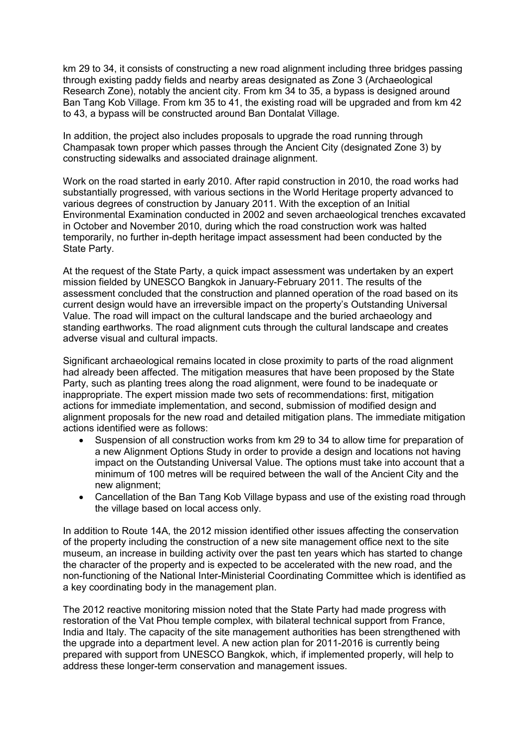km 29 to 34, it consists of constructing a new road alignment including three bridges passing through existing paddy fields and nearby areas designated as Zone 3 (Archaeological Research Zone), notably the ancient city. From km 34 to 35, a bypass is designed around Ban Tang Kob Village. From km 35 to 41, the existing road will be upgraded and from km 42 to 43, a bypass will be constructed around Ban Dontalat Village.

In addition, the project also includes proposals to upgrade the road running through Champasak town proper which passes through the Ancient City (designated Zone 3) by constructing sidewalks and associated drainage alignment.

Work on the road started in early 2010. After rapid construction in 2010, the road works had substantially progressed, with various sections in the World Heritage property advanced to various degrees of construction by January 2011. With the exception of an Initial Environmental Examination conducted in 2002 and seven archaeological trenches excavated in October and November 2010, during which the road construction work was halted temporarily, no further in-depth heritage impact assessment had been conducted by the State Party.

At the request of the State Party, a quick impact assessment was undertaken by an expert mission fielded by UNESCO Bangkok in January-February 2011. The results of the assessment concluded that the construction and planned operation of the road based on its current design would have an irreversible impact on the property's Outstanding Universal Value. The road will impact on the cultural landscape and the buried archaeology and standing earthworks. The road alignment cuts through the cultural landscape and creates adverse visual and cultural impacts.

Significant archaeological remains located in close proximity to parts of the road alignment had already been affected. The mitigation measures that have been proposed by the State Party, such as planting trees along the road alignment, were found to be inadequate or inappropriate. The expert mission made two sets of recommendations: first, mitigation actions for immediate implementation, and second, submission of modified design and alignment proposals for the new road and detailed mitigation plans. The immediate mitigation actions identified were as follows:

- Suspension of all construction works from km 29 to 34 to allow time for preparation of a new Alignment Options Study in order to provide a design and locations not having impact on the Outstanding Universal Value. The options must take into account that a minimum of 100 metres will be required between the wall of the Ancient City and the new alignment;
- Cancellation of the Ban Tang Kob Village bypass and use of the existing road through the village based on local access only.

In addition to Route 14A, the 2012 mission identified other issues affecting the conservation of the property including the construction of a new site management office next to the site museum, an increase in building activity over the past ten years which has started to change the character of the property and is expected to be accelerated with the new road, and the non-functioning of the National Inter-Ministerial Coordinating Committee which is identified as a key coordinating body in the management plan.

The 2012 reactive monitoring mission noted that the State Party had made progress with restoration of the Vat Phou temple complex, with bilateral technical support from France, India and Italy. The capacity of the site management authorities has been strengthened with the upgrade into a department level. A new action plan for 2011-2016 is currently being prepared with support from UNESCO Bangkok, which, if implemented properly, will help to address these longer-term conservation and management issues.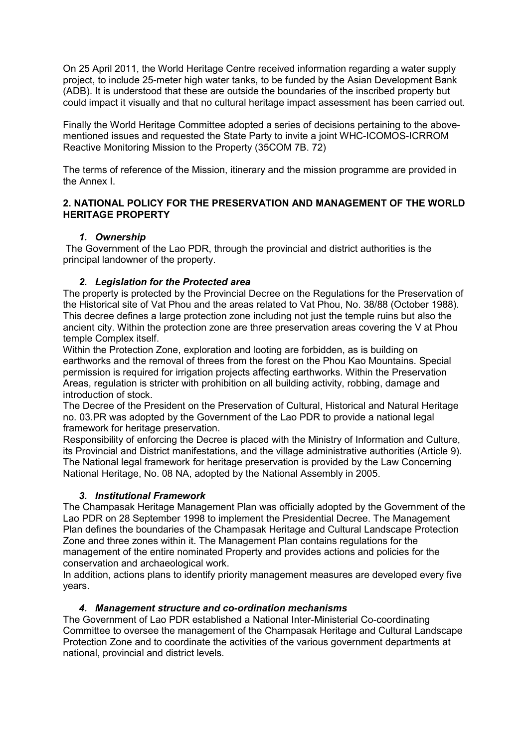On 25 April 2011, the World Heritage Centre received information regarding a water supply project, to include 25-meter high water tanks, to be funded by the Asian Development Bank (ADB). It is understood that these are outside the boundaries of the inscribed property but could impact it visually and that no cultural heritage impact assessment has been carried out.

Finally the World Heritage Committee adopted a series of decisions pertaining to the abovementioned issues and requested the State Party to invite a joint WHC-ICOMOS-ICRROM Reactive Monitoring Mission to the Property (35COM 7B. 72)

The terms of reference of the Mission, itinerary and the mission programme are provided in the Annex I.

#### 2. NATIONAL POLICY FOR THE PRESERVATION AND MANAGEMENT OF THE WORLD HERITAGE PROPERTY

#### *1. Ownership*

The Government of the Lao PDR, through the provincial and district authorities is the principal landowner of the property.

## *2. Legislation for the Protected area*

The property is protected by the Provincial Decree on the Regulations for the Preservation of the Historical site of Vat Phou and the areas related to Vat Phou, No. 38/88 (October 1988). This decree defines a large protection zone including not just the temple ruins but also the ancient city. Within the protection zone are three preservation areas covering the V at Phou temple Complex itself.

Within the Protection Zone, exploration and looting are forbidden, as is building on earthworks and the removal of threes from the forest on the Phou Kao Mountains. Special permission is required for irrigation projects affecting earthworks. Within the Preservation Areas, regulation is stricter with prohibition on all building activity, robbing, damage and introduction of stock.

The Decree of the President on the Preservation of Cultural, Historical and Natural Heritage no. 03.PR was adopted by the Government of the Lao PDR to provide a national legal framework for heritage preservation.

Responsibility of enforcing the Decree is placed with the Ministry of Information and Culture, its Provincial and District manifestations, and the village administrative authorities (Article 9). The National legal framework for heritage preservation is provided by the Law Concerning National Heritage, No. 08 NA, adopted by the National Assembly in 2005.

#### *3. Institutional Framework*

The Champasak Heritage Management Plan was officially adopted by the Government of the Lao PDR on 28 September 1998 to implement the Presidential Decree. The Management Plan defines the boundaries of the Champasak Heritage and Cultural Landscape Protection Zone and three zones within it. The Management Plan contains regulations for the management of the entire nominated Property and provides actions and policies for the conservation and archaeological work.

In addition, actions plans to identify priority management measures are developed every five years.

## *4. Management structure and co-ordination mechanisms*

The Government of Lao PDR established a National Inter-Ministerial Co-coordinating Committee to oversee the management of the Champasak Heritage and Cultural Landscape Protection Zone and to coordinate the activities of the various government departments at national, provincial and district levels.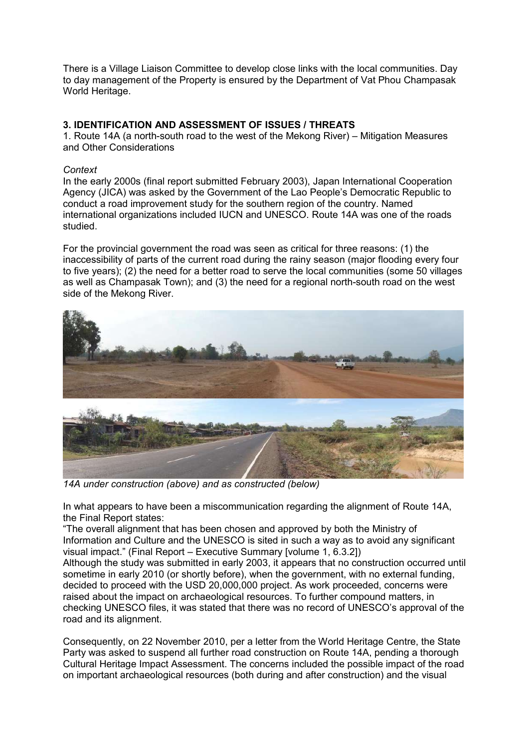There is a Village Liaison Committee to develop close links with the local communities. Day to day management of the Property is ensured by the Department of Vat Phou Champasak World Heritage.

#### 3. IDENTIFICATION AND ASSESSMENT OF ISSUES / THREATS

1. Route 14A (a north-south road to the west of the Mekong River) – Mitigation Measures and Other Considerations

#### *Context*

In the early 2000s (final report submitted February 2003), Japan International Cooperation Agency (JICA) was asked by the Government of the Lao People's Democratic Republic to conduct a road improvement study for the southern region of the country. Named international organizations included IUCN and UNESCO. Route 14A was one of the roads studied.

For the provincial government the road was seen as critical for three reasons: (1) the inaccessibility of parts of the current road during the rainy season (major flooding every four to five years); (2) the need for a better road to serve the local communities (some 50 villages as well as Champasak Town); and (3) the need for a regional north-south road on the west side of the Mekong River.



*14A under construction (above) and as constructed (below)*

In what appears to have been a miscommunication regarding the alignment of Route 14A, the Final Report states:

"The overall alignment that has been chosen and approved by both the Ministry of Information and Culture and the UNESCO is sited in such a way as to avoid any significant visual impact." (Final Report – Executive Summary [volume 1, 6.3.2])

Although the study was submitted in early 2003, it appears that no construction occurred until sometime in early 2010 (or shortly before), when the government, with no external funding, decided to proceed with the USD 20,000,000 project. As work proceeded, concerns were raised about the impact on archaeological resources. To further compound matters, in checking UNESCO files, it was stated that there was no record of UNESCO's approval of the road and its alignment.

Consequently, on 22 November 2010, per a letter from the World Heritage Centre, the State Party was asked to suspend all further road construction on Route 14A, pending a thorough Cultural Heritage Impact Assessment. The concerns included the possible impact of the road on important archaeological resources (both during and after construction) and the visual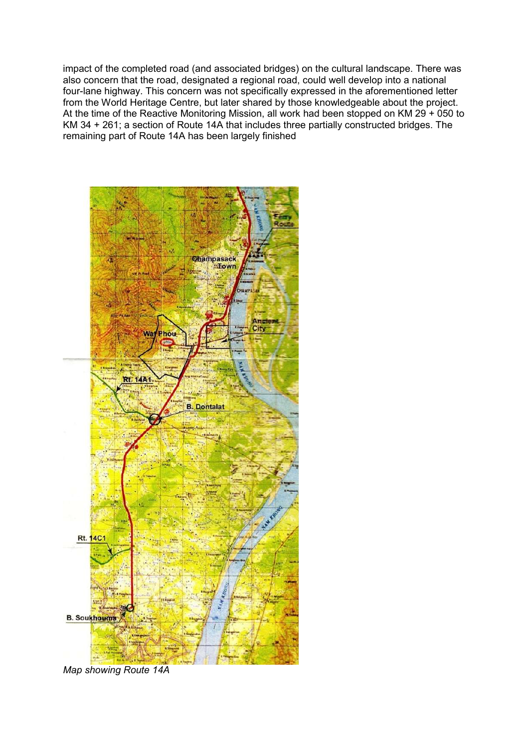impact of the completed road (and associated bridges) on the cultural landscape. There was also concern that the road, designated a regional road, could well develop into a national four-lane highway. This concern was not specifically expressed in the aforementioned letter from the World Heritage Centre, but later shared by those knowledgeable about the project. At the time of the Reactive Monitoring Mission, all work had been stopped on KM 29 + 050 to KM 34 + 261; a section of Route 14A that includes three partially constructed bridges. The remaining part of Route 14A has been largely finished



*Map showing Route 14A*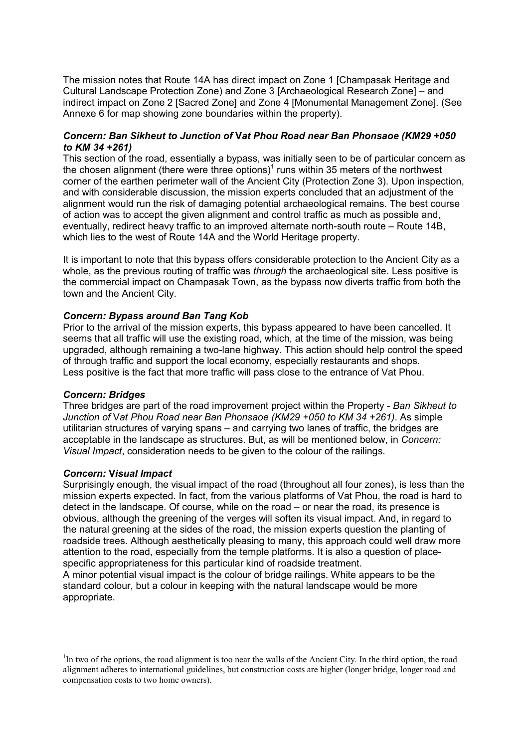The mission notes that Route 14A has direct impact on Zone 1 [Champasak Heritage and Cultural Landscape Protection Zone) and Zone 3 [Archaeological Research Zone] – and indirect impact on Zone 2 [Sacred Zone] and Zone 4 [Monumental Management Zone]. (See Annexe 6 for map showing zone boundaries within the property).

#### *Concern: Ban Sikheut to Junction of* V*at Phou Road near Ban Phonsaoe (KM29 +050 to KM 34 +261)*

This section of the road, essentially a bypass, was initially seen to be of particular concern as the chosen alignment (there were three options)<sup>1</sup> runs within 35 meters of the northwest corner of the earthen perimeter wall of the Ancient City (Protection Zone 3). Upon inspection, and with considerable discussion, the mission experts concluded that an adjustment of the alignment would run the risk of damaging potential archaeological remains. The best course of action was to accept the given alignment and control traffic as much as possible and, eventually, redirect heavy traffic to an improved alternate north-south route – Route 14B, which lies to the west of Route 14A and the World Heritage property.

It is important to note that this bypass offers considerable protection to the Ancient City as a whole, as the previous routing of traffic was *through* the archaeological site. Less positive is the commercial impact on Champasak Town, as the bypass now diverts traffic from both the town and the Ancient City.

#### *Concern: Bypass around Ban Tang Kob*

Prior to the arrival of the mission experts, this bypass appeared to have been cancelled. It seems that all traffic will use the existing road, which, at the time of the mission, was being upgraded, although remaining a two-lane highway. This action should help control the speed of through traffic and support the local economy, especially restaurants and shops. Less positive is the fact that more traffic will pass close to the entrance of Vat Phou.

#### *Concern: Bridges*

Three bridges are part of the road improvement project within the Property - *Ban Sikheut to Junction of* V*at Phou Road near Ban Phonsaoe (KM29 +050 to KM 34 +261)*. As simple utilitarian structures of varying spans – and carrying two lanes of traffic, the bridges are acceptable in the landscape as structures. But, as will be mentioned below, in *Concern: Visual Impact*, consideration needs to be given to the colour of the railings.

#### *Concern:* V*isual Impact*

Surprisingly enough, the visual impact of the road (throughout all four zones), is less than the mission experts expected. In fact, from the various platforms of Vat Phou, the road is hard to detect in the landscape. Of course, while on the road – or near the road, its presence is obvious, although the greening of the verges will soften its visual impact. And, in regard to the natural greening at the sides of the road, the mission experts question the planting of roadside trees. Although aesthetically pleasing to many, this approach could well draw more attention to the road, especially from the temple platforms. It is also a question of placespecific appropriateness for this particular kind of roadside treatment.

A minor potential visual impact is the colour of bridge railings. White appears to be the standard colour, but a colour in keeping with the natural landscape would be more appropriate.

<sup>&</sup>lt;sup>1</sup>In two of the options, the road alignment is too near the walls of the Ancient City. In the third option, the road alignment adheres to international guidelines, but construction costs are higher (longer bridge, longer road and compensation costs to two home owners).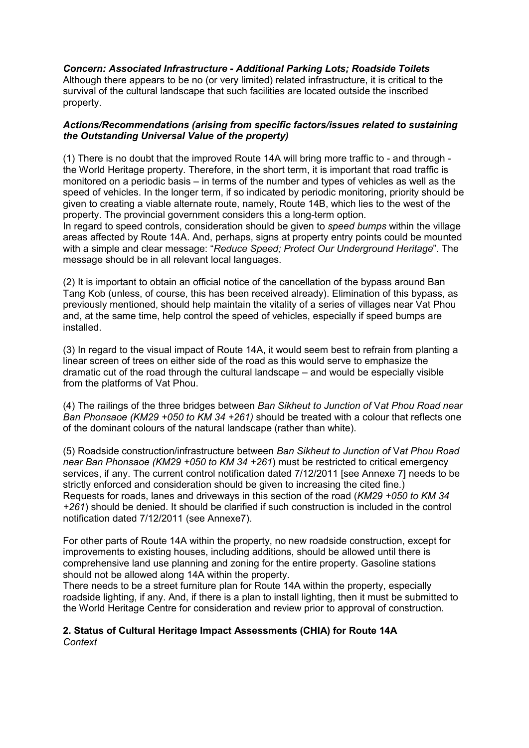*Concern: Associated Infrastructure - Additional Parking Lots; Roadside Toilets*

Although there appears to be no (or very limited) related infrastructure, it is critical to the survival of the cultural landscape that such facilities are located outside the inscribed property.

#### *Actions/Recommendations (arising from specific factors/issues related to sustaining the Outstanding Universal Value of the property)*

(1) There is no doubt that the improved Route 14A will bring more traffic to - and through the World Heritage property. Therefore, in the short term, it is important that road traffic is monitored on a periodic basis – in terms of the number and types of vehicles as well as the speed of vehicles. In the longer term, if so indicated by periodic monitoring, priority should be given to creating a viable alternate route, namely, Route 14B, which lies to the west of the property. The provincial government considers this a long-term option.

In regard to speed controls, consideration should be given to *speed bumps* within the village areas affected by Route 14A. And, perhaps, signs at property entry points could be mounted with a simple and clear message: "*Reduce Speed; Protect Our Underground Heritage*". The message should be in all relevant local languages.

(2) It is important to obtain an official notice of the cancellation of the bypass around Ban Tang Kob (unless, of course, this has been received already). Elimination of this bypass, as previously mentioned, should help maintain the vitality of a series of villages near Vat Phou and, at the same time, help control the speed of vehicles, especially if speed bumps are installed.

(3) In regard to the visual impact of Route 14A, it would seem best to refrain from planting a linear screen of trees on either side of the road as this would serve to emphasize the dramatic cut of the road through the cultural landscape – and would be especially visible from the platforms of Vat Phou.

(4) The railings of the three bridges between *Ban Sikheut to Junction of* V*at Phou Road near Ban Phonsaoe (KM29 +050 to KM 34 +261)* should be treated with a colour that reflects one of the dominant colours of the natural landscape (rather than white).

(5) Roadside construction/infrastructure between *Ban Sikheut to Junction of* V*at Phou Road near Ban Phonsaoe (KM29 +050 to KM 34 +261*) must be restricted to critical emergency services, if any. The current control notification dated 7/12/2011 [see Annexe 7] needs to be strictly enforced and consideration should be given to increasing the cited fine.) Requests for roads, lanes and driveways in this section of the road (*KM29 +050 to KM 34 +261*) should be denied. It should be clarified if such construction is included in the control notification dated 7/12/2011 (see Annexe7).

For other parts of Route 14A within the property, no new roadside construction, except for improvements to existing houses, including additions, should be allowed until there is comprehensive land use planning and zoning for the entire property. Gasoline stations should not be allowed along 14A within the property.

There needs to be a street furniture plan for Route 14A within the property, especially roadside lighting, if any. And, if there is a plan to install lighting, then it must be submitted to the World Heritage Centre for consideration and review prior to approval of construction.

#### 2. Status of Cultural Heritage Impact Assessments (CHIA) for Route 14A *Context*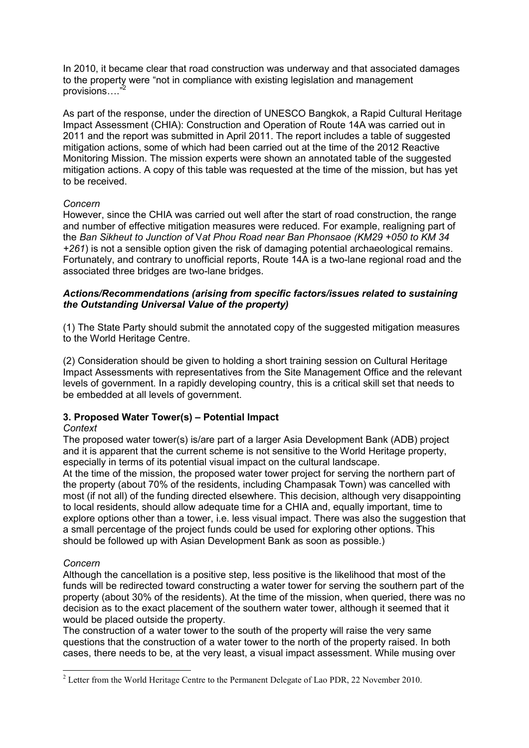In 2010, it became clear that road construction was underway and that associated damages to the property were "not in compliance with existing legislation and management provisions...."

As part of the response, under the direction of UNESCO Bangkok, a Rapid Cultural Heritage Impact Assessment (CHIA): Construction and Operation of Route 14A was carried out in 2011 and the report was submitted in April 2011. The report includes a table of suggested mitigation actions, some of which had been carried out at the time of the 2012 Reactive Monitoring Mission. The mission experts were shown an annotated table of the suggested mitigation actions. A copy of this table was requested at the time of the mission, but has yet to be received.

#### *Concern*

However, since the CHIA was carried out well after the start of road construction, the range and number of effective mitigation measures were reduced. For example, realigning part of the *Ban Sikheut to Junction of* V*at Phou Road near Ban Phonsaoe (KM29 +050 to KM 34 +261*) is not a sensible option given the risk of damaging potential archaeological remains. Fortunately, and contrary to unofficial reports, Route 14A is a two-lane regional road and the associated three bridges are two-lane bridges.

#### *Actions/Recommendations (arising from specific factors/issues related to sustaining the Outstanding Universal Value of the property)*

(1) The State Party should submit the annotated copy of the suggested mitigation measures to the World Heritage Centre.

(2) Consideration should be given to holding a short training session on Cultural Heritage Impact Assessments with representatives from the Site Management Office and the relevant levels of government. In a rapidly developing country, this is a critical skill set that needs to be embedded at all levels of government.

## 3. Proposed Water Tower(s) – Potential Impact

#### *Context*

The proposed water tower(s) is/are part of a larger Asia Development Bank (ADB) project and it is apparent that the current scheme is not sensitive to the World Heritage property, especially in terms of its potential visual impact on the cultural landscape.

At the time of the mission, the proposed water tower project for serving the northern part of the property (about 70% of the residents, including Champasak Town) was cancelled with most (if not all) of the funding directed elsewhere. This decision, although very disappointing to local residents, should allow adequate time for a CHIA and, equally important, time to explore options other than a tower, i.e. less visual impact. There was also the suggestion that a small percentage of the project funds could be used for exploring other options. This should be followed up with Asian Development Bank as soon as possible.)

#### *Concern*

Although the cancellation is a positive step, less positive is the likelihood that most of the funds will be redirected toward constructing a water tower for serving the southern part of the property (about 30% of the residents). At the time of the mission, when queried, there was no decision as to the exact placement of the southern water tower, although it seemed that it would be placed outside the property.

The construction of a water tower to the south of the property will raise the very same questions that the construction of a water tower to the north of the property raised. In both cases, there needs to be, at the very least, a visual impact assessment. While musing over

<sup>&</sup>lt;sup>2</sup> Letter from the World Heritage Centre to the Permanent Delegate of Lao PDR, 22 November 2010.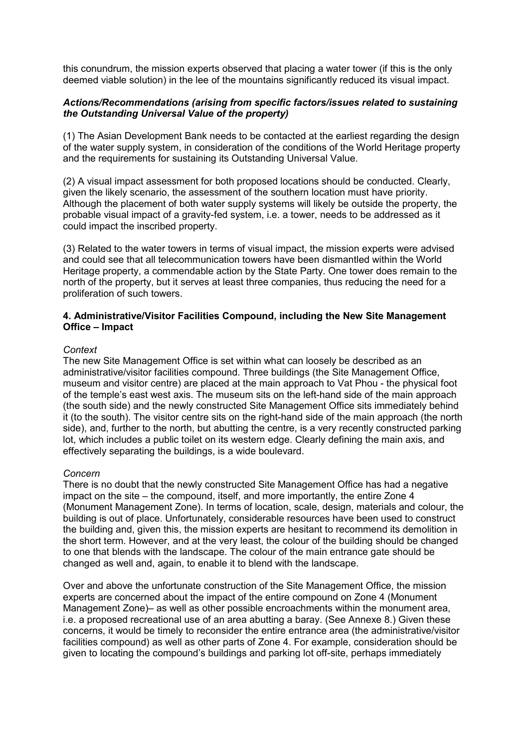this conundrum, the mission experts observed that placing a water tower (if this is the only deemed viable solution) in the lee of the mountains significantly reduced its visual impact.

#### *Actions/Recommendations (arising from specific factors/issues related to sustaining the Outstanding Universal Value of the property)*

(1) The Asian Development Bank needs to be contacted at the earliest regarding the design of the water supply system, in consideration of the conditions of the World Heritage property and the requirements for sustaining its Outstanding Universal Value.

(2) A visual impact assessment for both proposed locations should be conducted. Clearly, given the likely scenario, the assessment of the southern location must have priority. Although the placement of both water supply systems will likely be outside the property, the probable visual impact of a gravity-fed system, i.e. a tower, needs to be addressed as it could impact the inscribed property.

(3) Related to the water towers in terms of visual impact, the mission experts were advised and could see that all telecommunication towers have been dismantled within the World Heritage property, a commendable action by the State Party. One tower does remain to the north of the property, but it serves at least three companies, thus reducing the need for a proliferation of such towers.

#### 4. Administrative/Visitor Facilities Compound, including the New Site Management Office – Impact

#### *Context*

The new Site Management Office is set within what can loosely be described as an administrative/visitor facilities compound. Three buildings (the Site Management Office, museum and visitor centre) are placed at the main approach to Vat Phou - the physical foot of the temple's east west axis. The museum sits on the left-hand side of the main approach (the south side) and the newly constructed Site Management Office sits immediately behind it (to the south). The visitor centre sits on the right-hand side of the main approach (the north side), and, further to the north, but abutting the centre, is a very recently constructed parking lot, which includes a public toilet on its western edge. Clearly defining the main axis, and effectively separating the buildings, is a wide boulevard.

#### *Concern*

There is no doubt that the newly constructed Site Management Office has had a negative impact on the site – the compound, itself, and more importantly, the entire Zone 4 (Monument Management Zone). In terms of location, scale, design, materials and colour, the building is out of place. Unfortunately, considerable resources have been used to construct the building and, given this, the mission experts are hesitant to recommend its demolition in the short term. However, and at the very least, the colour of the building should be changed to one that blends with the landscape. The colour of the main entrance gate should be changed as well and, again, to enable it to blend with the landscape.

Over and above the unfortunate construction of the Site Management Office, the mission experts are concerned about the impact of the entire compound on Zone 4 (Monument Management Zone)– as well as other possible encroachments within the monument area, i.e. a proposed recreational use of an area abutting a baray. (See Annexe 8.) Given these concerns, it would be timely to reconsider the entire entrance area (the administrative/visitor facilities compound) as well as other parts of Zone 4. For example, consideration should be given to locating the compound's buildings and parking lot off-site, perhaps immediately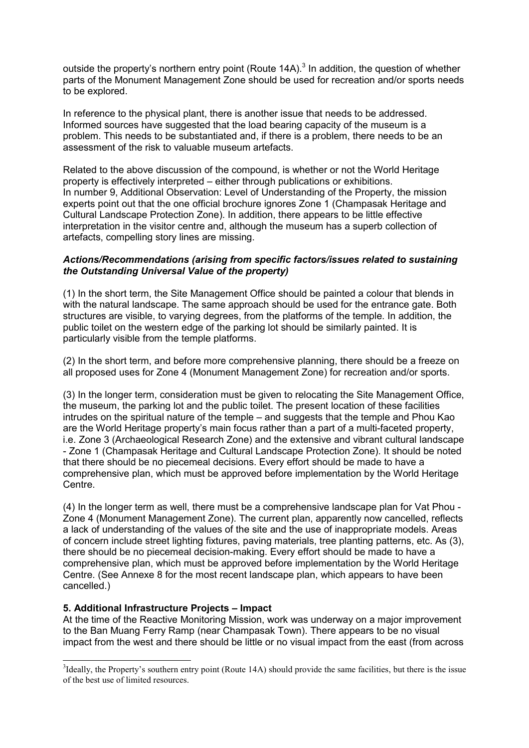outside the property's northern entry point (Route  $14A$ ).<sup>3</sup> In addition, the question of whether parts of the Monument Management Zone should be used for recreation and/or sports needs to be explored.

In reference to the physical plant, there is another issue that needs to be addressed. Informed sources have suggested that the load bearing capacity of the museum is a problem. This needs to be substantiated and, if there is a problem, there needs to be an assessment of the risk to valuable museum artefacts.

Related to the above discussion of the compound, is whether or not the World Heritage property is effectively interpreted – either through publications or exhibitions. In number 9, Additional Observation: Level of Understanding of the Property, the mission experts point out that the one official brochure ignores Zone 1 (Champasak Heritage and Cultural Landscape Protection Zone). In addition, there appears to be little effective interpretation in the visitor centre and, although the museum has a superb collection of artefacts, compelling story lines are missing.

#### *Actions/Recommendations (arising from specific factors/issues related to sustaining the Outstanding Universal Value of the property)*

(1) In the short term, the Site Management Office should be painted a colour that blends in with the natural landscape. The same approach should be used for the entrance gate. Both structures are visible, to varying degrees, from the platforms of the temple. In addition, the public toilet on the western edge of the parking lot should be similarly painted. It is particularly visible from the temple platforms.

(2) In the short term, and before more comprehensive planning, there should be a freeze on all proposed uses for Zone 4 (Monument Management Zone) for recreation and/or sports.

(3) In the longer term, consideration must be given to relocating the Site Management Office, the museum, the parking lot and the public toilet. The present location of these facilities intrudes on the spiritual nature of the temple – and suggests that the temple and Phou Kao are the World Heritage property's main focus rather than a part of a multi-faceted property, i.e. Zone 3 (Archaeological Research Zone) and the extensive and vibrant cultural landscape - Zone 1 (Champasak Heritage and Cultural Landscape Protection Zone). It should be noted that there should be no piecemeal decisions. Every effort should be made to have a comprehensive plan, which must be approved before implementation by the World Heritage Centre.

(4) In the longer term as well, there must be a comprehensive landscape plan for Vat Phou - Zone 4 (Monument Management Zone). The current plan, apparently now cancelled, reflects a lack of understanding of the values of the site and the use of inappropriate models. Areas of concern include street lighting fixtures, paving materials, tree planting patterns, etc. As (3), there should be no piecemeal decision-making. Every effort should be made to have a comprehensive plan, which must be approved before implementation by the World Heritage Centre. (See Annexe 8 for the most recent landscape plan, which appears to have been cancelled.)

#### 5. Additional Infrastructure Projects – Impact

At the time of the Reactive Monitoring Mission, work was underway on a major improvement to the Ban Muang Ferry Ramp (near Champasak Town). There appears to be no visual impact from the west and there should be little or no visual impact from the east (from across

<sup>&</sup>lt;sup>3</sup>Ideally, the Property's southern entry point (Route 14A) should provide the same facilities, but there is the issue of the best use of limited resources.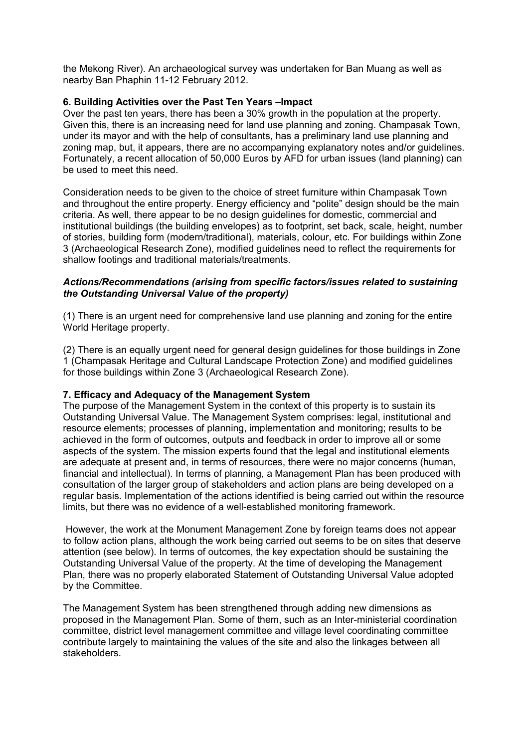the Mekong River). An archaeological survey was undertaken for Ban Muang as well as nearby Ban Phaphin 11-12 February 2012.

#### 6. Building Activities over the Past Ten Years –Impact

Over the past ten years, there has been a 30% growth in the population at the property. Given this, there is an increasing need for land use planning and zoning. Champasak Town, under its mayor and with the help of consultants, has a preliminary land use planning and zoning map, but, it appears, there are no accompanying explanatory notes and/or guidelines. Fortunately, a recent allocation of 50,000 Euros by AFD for urban issues (land planning) can be used to meet this need.

Consideration needs to be given to the choice of street furniture within Champasak Town and throughout the entire property. Energy efficiency and "polite" design should be the main criteria. As well, there appear to be no design guidelines for domestic, commercial and institutional buildings (the building envelopes) as to footprint, set back, scale, height, number of stories, building form (modern/traditional), materials, colour, etc. For buildings within Zone 3 (Archaeological Research Zone), modified guidelines need to reflect the requirements for shallow footings and traditional materials/treatments.

#### *Actions/Recommendations (arising from specific factors/issues related to sustaining the Outstanding Universal Value of the property)*

(1) There is an urgent need for comprehensive land use planning and zoning for the entire World Heritage property.

(2) There is an equally urgent need for general design guidelines for those buildings in Zone 1 (Champasak Heritage and Cultural Landscape Protection Zone) and modified guidelines for those buildings within Zone 3 (Archaeological Research Zone).

#### 7. Efficacy and Adequacy of the Management System

The purpose of the Management System in the context of this property is to sustain its Outstanding Universal Value. The Management System comprises: legal, institutional and resource elements; processes of planning, implementation and monitoring; results to be achieved in the form of outcomes, outputs and feedback in order to improve all or some aspects of the system. The mission experts found that the legal and institutional elements are adequate at present and, in terms of resources, there were no major concerns (human, financial and intellectual). In terms of planning, a Management Plan has been produced with consultation of the larger group of stakeholders and action plans are being developed on a regular basis. Implementation of the actions identified is being carried out within the resource limits, but there was no evidence of a well-established monitoring framework.

However, the work at the Monument Management Zone by foreign teams does not appear to follow action plans, although the work being carried out seems to be on sites that deserve attention (see below). In terms of outcomes, the key expectation should be sustaining the Outstanding Universal Value of the property. At the time of developing the Management Plan, there was no properly elaborated Statement of Outstanding Universal Value adopted by the Committee.

The Management System has been strengthened through adding new dimensions as proposed in the Management Plan. Some of them, such as an Inter-ministerial coordination committee, district level management committee and village level coordinating committee contribute largely to maintaining the values of the site and also the linkages between all stakeholders.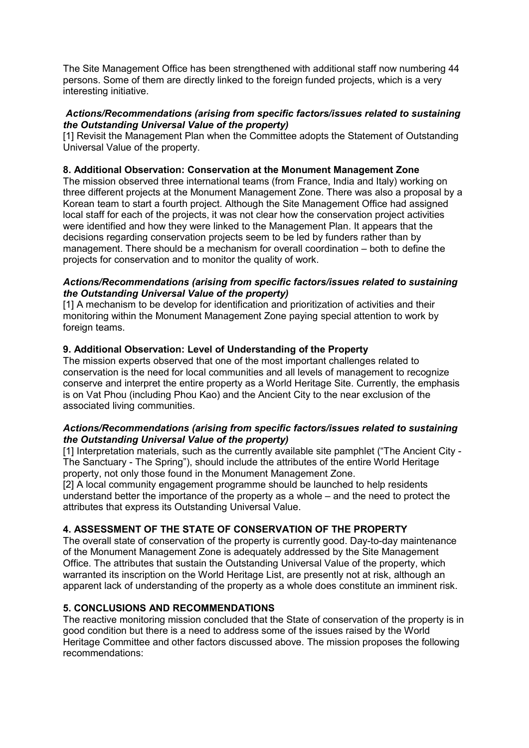The Site Management Office has been strengthened with additional staff now numbering 44 persons. Some of them are directly linked to the foreign funded projects, which is a very interesting initiative.

#### *Actions/Recommendations (arising from specific factors/issues related to sustaining the Outstanding Universal Value of the property)*

[1] Revisit the Management Plan when the Committee adopts the Statement of Outstanding Universal Value of the property.

#### 8. Additional Observation: Conservation at the Monument Management Zone

The mission observed three international teams (from France, India and Italy) working on three different projects at the Monument Management Zone. There was also a proposal by a Korean team to start a fourth project. Although the Site Management Office had assigned local staff for each of the projects, it was not clear how the conservation project activities were identified and how they were linked to the Management Plan. It appears that the decisions regarding conservation projects seem to be led by funders rather than by management. There should be a mechanism for overall coordination – both to define the projects for conservation and to monitor the quality of work.

#### *Actions/Recommendations (arising from specific factors/issues related to sustaining the Outstanding Universal Value of the property)*

[1] A mechanism to be develop for identification and prioritization of activities and their monitoring within the Monument Management Zone paying special attention to work by foreign teams.

## 9. Additional Observation: Level of Understanding of the Property

The mission experts observed that one of the most important challenges related to conservation is the need for local communities and all levels of management to recognize conserve and interpret the entire property as a World Heritage Site. Currently, the emphasis is on Vat Phou (including Phou Kao) and the Ancient City to the near exclusion of the associated living communities.

#### *Actions/Recommendations (arising from specific factors/issues related to sustaining the Outstanding Universal Value of the property)*

[1] Interpretation materials, such as the currently available site pamphlet ("The Ancient City - The Sanctuary - The Spring"), should include the attributes of the entire World Heritage property, not only those found in the Monument Management Zone.

[2] A local community engagement programme should be launched to help residents understand better the importance of the property as a whole – and the need to protect the attributes that express its Outstanding Universal Value.

#### 4. ASSESSMENT OF THE STATE OF CONSERVATION OF THE PROPERTY

The overall state of conservation of the property is currently good. Day-to-day maintenance of the Monument Management Zone is adequately addressed by the Site Management Office. The attributes that sustain the Outstanding Universal Value of the property, which warranted its inscription on the World Heritage List, are presently not at risk, although an apparent lack of understanding of the property as a whole does constitute an imminent risk.

#### 5. CONCLUSIONS AND RECOMMENDATIONS

The reactive monitoring mission concluded that the State of conservation of the property is in good condition but there is a need to address some of the issues raised by the World Heritage Committee and other factors discussed above. The mission proposes the following recommendations: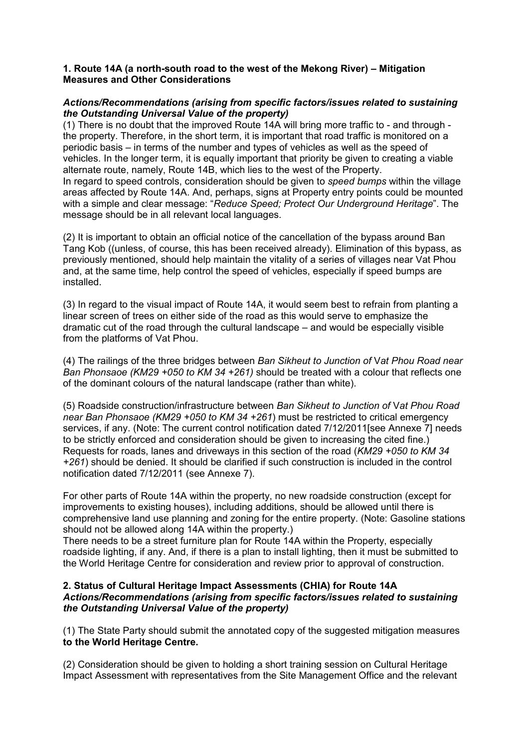#### 1. Route 14A (a north-south road to the west of the Mekong River) – Mitigation Measures and Other Considerations

#### *Actions/Recommendations (arising from specific factors/issues related to sustaining the Outstanding Universal Value of the property)*

(1) There is no doubt that the improved Route 14A will bring more traffic to - and through the property. Therefore, in the short term, it is important that road traffic is monitored on a periodic basis – in terms of the number and types of vehicles as well as the speed of vehicles. In the longer term, it is equally important that priority be given to creating a viable alternate route, namely, Route 14B, which lies to the west of the Property.

In regard to speed controls, consideration should be given to *speed bumps* within the village areas affected by Route 14A. And, perhaps, signs at Property entry points could be mounted with a simple and clear message: "*Reduce Speed; Protect Our Underground Heritage*". The message should be in all relevant local languages.

(2) It is important to obtain an official notice of the cancellation of the bypass around Ban Tang Kob ((unless, of course, this has been received already). Elimination of this bypass, as previously mentioned, should help maintain the vitality of a series of villages near Vat Phou and, at the same time, help control the speed of vehicles, especially if speed bumps are installed.

(3) In regard to the visual impact of Route 14A, it would seem best to refrain from planting a linear screen of trees on either side of the road as this would serve to emphasize the dramatic cut of the road through the cultural landscape – and would be especially visible from the platforms of Vat Phou.

(4) The railings of the three bridges between *Ban Sikheut to Junction of* V*at Phou Road near Ban Phonsaoe (KM29 +050 to KM 34 +261)* should be treated with a colour that reflects one of the dominant colours of the natural landscape (rather than white).

(5) Roadside construction/infrastructure between *Ban Sikheut to Junction of* V*at Phou Road near Ban Phonsaoe (KM29 +050 to KM 34 +261*) must be restricted to critical emergency services, if any. (Note: The current control notification dated 7/12/2011[see Annexe 7] needs to be strictly enforced and consideration should be given to increasing the cited fine.) Requests for roads, lanes and driveways in this section of the road (*KM29 +050 to KM 34 +261*) should be denied. It should be clarified if such construction is included in the control notification dated 7/12/2011 (see Annexe 7).

For other parts of Route 14A within the property, no new roadside construction (except for improvements to existing houses), including additions, should be allowed until there is comprehensive land use planning and zoning for the entire property. (Note: Gasoline stations should not be allowed along 14A within the property.)

There needs to be a street furniture plan for Route 14A within the Property, especially roadside lighting, if any. And, if there is a plan to install lighting, then it must be submitted to the World Heritage Centre for consideration and review prior to approval of construction.

#### 2. Status of Cultural Heritage Impact Assessments (CHIA) for Route 14A *Actions/Recommendations (arising from specific factors/issues related to sustaining the Outstanding Universal Value of the property)*

(1) The State Party should submit the annotated copy of the suggested mitigation measures to the World Heritage Centre.

(2) Consideration should be given to holding a short training session on Cultural Heritage Impact Assessment with representatives from the Site Management Office and the relevant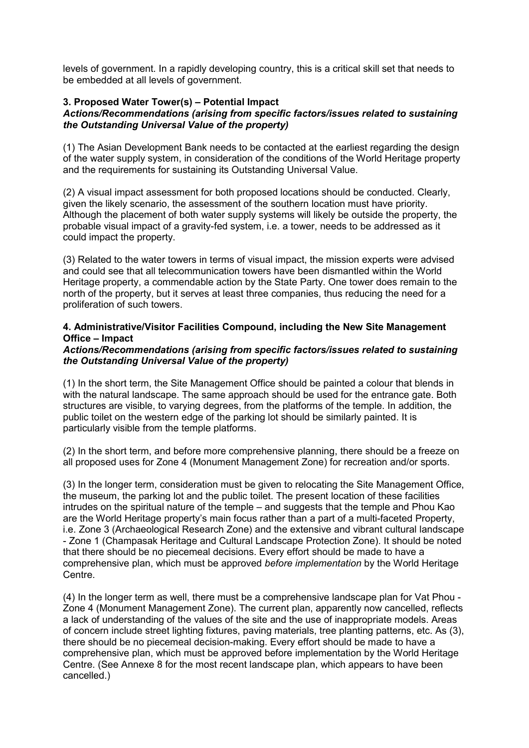levels of government. In a rapidly developing country, this is a critical skill set that needs to be embedded at all levels of government.

## 3. Proposed Water Tower(s) – Potential Impact

#### *Actions/Recommendations (arising from specific factors/issues related to sustaining the Outstanding Universal Value of the property)*

(1) The Asian Development Bank needs to be contacted at the earliest regarding the design of the water supply system, in consideration of the conditions of the World Heritage property and the requirements for sustaining its Outstanding Universal Value.

(2) A visual impact assessment for both proposed locations should be conducted. Clearly, given the likely scenario, the assessment of the southern location must have priority. Although the placement of both water supply systems will likely be outside the property, the probable visual impact of a gravity-fed system, i.e. a tower, needs to be addressed as it could impact the property.

(3) Related to the water towers in terms of visual impact, the mission experts were advised and could see that all telecommunication towers have been dismantled within the World Heritage property, a commendable action by the State Party. One tower does remain to the north of the property, but it serves at least three companies, thus reducing the need for a proliferation of such towers.

#### 4. Administrative/Visitor Facilities Compound, including the New Site Management Office – Impact

#### *Actions/Recommendations (arising from specific factors/issues related to sustaining the Outstanding Universal Value of the property)*

(1) In the short term, the Site Management Office should be painted a colour that blends in with the natural landscape. The same approach should be used for the entrance gate. Both structures are visible, to varying degrees, from the platforms of the temple. In addition, the public toilet on the western edge of the parking lot should be similarly painted. It is particularly visible from the temple platforms.

(2) In the short term, and before more comprehensive planning, there should be a freeze on all proposed uses for Zone 4 (Monument Management Zone) for recreation and/or sports.

(3) In the longer term, consideration must be given to relocating the Site Management Office, the museum, the parking lot and the public toilet. The present location of these facilities intrudes on the spiritual nature of the temple – and suggests that the temple and Phou Kao are the World Heritage property's main focus rather than a part of a multi-faceted Property, i.e. Zone 3 (Archaeological Research Zone) and the extensive and vibrant cultural landscape - Zone 1 (Champasak Heritage and Cultural Landscape Protection Zone). It should be noted that there should be no piecemeal decisions. Every effort should be made to have a comprehensive plan, which must be approved *before implementation* by the World Heritage Centre.

(4) In the longer term as well, there must be a comprehensive landscape plan for Vat Phou - Zone 4 (Monument Management Zone). The current plan, apparently now cancelled, reflects a lack of understanding of the values of the site and the use of inappropriate models. Areas of concern include street lighting fixtures, paving materials, tree planting patterns, etc. As (3), there should be no piecemeal decision-making. Every effort should be made to have a comprehensive plan, which must be approved before implementation by the World Heritage Centre. (See Annexe 8 for the most recent landscape plan, which appears to have been cancelled.)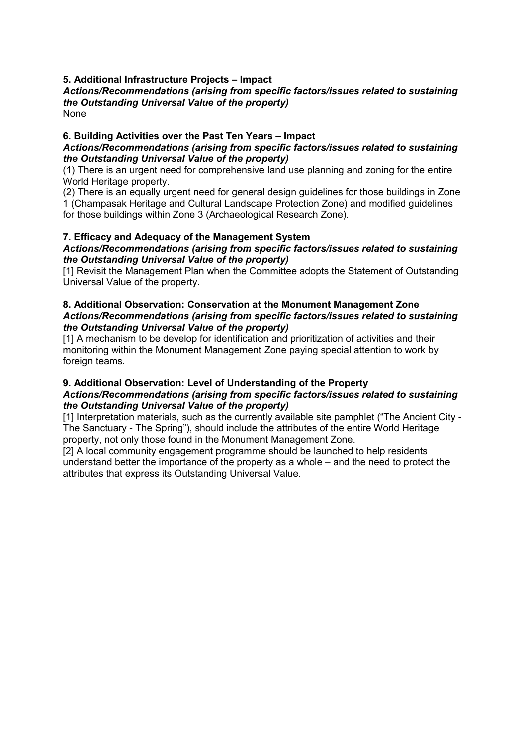## 5. Additional Infrastructure Projects – Impact

#### *Actions/Recommendations (arising from specific factors/issues related to sustaining the Outstanding Universal Value of the property)* None

## 6. Building Activities over the Past Ten Years – Impact

#### *Actions/Recommendations (arising from specific factors/issues related to sustaining the Outstanding Universal Value of the property)*

(1) There is an urgent need for comprehensive land use planning and zoning for the entire World Heritage property.

(2) There is an equally urgent need for general design guidelines for those buildings in Zone 1 (Champasak Heritage and Cultural Landscape Protection Zone) and modified guidelines for those buildings within Zone 3 (Archaeological Research Zone).

## 7. Efficacy and Adequacy of the Management System

#### *Actions/Recommendations (arising from specific factors/issues related to sustaining the Outstanding Universal Value of the property)*

[1] Revisit the Management Plan when the Committee adopts the Statement of Outstanding Universal Value of the property.

#### 8. Additional Observation: Conservation at the Monument Management Zone *Actions/Recommendations (arising from specific factors/issues related to sustaining the Outstanding Universal Value of the property)*

[1] A mechanism to be develop for identification and prioritization of activities and their monitoring within the Monument Management Zone paying special attention to work by foreign teams.

#### 9. Additional Observation: Level of Understanding of the Property

## *Actions/Recommendations (arising from specific factors/issues related to sustaining the Outstanding Universal Value of the property)*

[1] Interpretation materials, such as the currently available site pamphlet ("The Ancient City -The Sanctuary - The Spring"), should include the attributes of the entire World Heritage property, not only those found in the Monument Management Zone.

[2] A local community engagement programme should be launched to help residents understand better the importance of the property as a whole – and the need to protect the attributes that express its Outstanding Universal Value.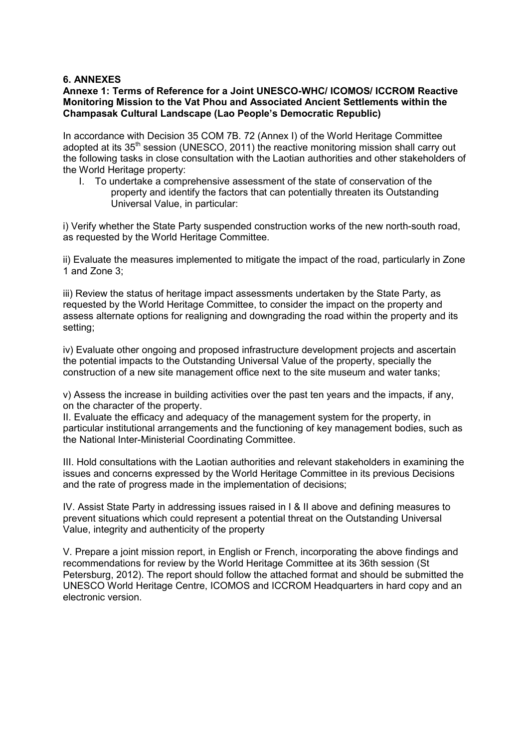#### 6. ANNEXES

#### Annexe 1: Terms of Reference for a Joint UNESCO-WHC/ ICOMOS/ ICCROM Reactive Monitoring Mission to the Vat Phou and Associated Ancient Settlements within the Champasak Cultural Landscape (Lao People's Democratic Republic)

In accordance with Decision 35 COM 7B. 72 (Annex I) of the World Heritage Committee adopted at its 35<sup>th</sup> session (UNESCO, 2011) the reactive monitoring mission shall carry out the following tasks in close consultation with the Laotian authorities and other stakeholders of the World Heritage property:

I. To undertake a comprehensive assessment of the state of conservation of the property and identify the factors that can potentially threaten its Outstanding Universal Value, in particular:

i) Verify whether the State Party suspended construction works of the new north-south road, as requested by the World Heritage Committee.

ii) Evaluate the measures implemented to mitigate the impact of the road, particularly in Zone 1 and Zone 3;

iii) Review the status of heritage impact assessments undertaken by the State Party, as requested by the World Heritage Committee, to consider the impact on the property and assess alternate options for realigning and downgrading the road within the property and its setting;

iv) Evaluate other ongoing and proposed infrastructure development projects and ascertain the potential impacts to the Outstanding Universal Value of the property, specially the construction of a new site management office next to the site museum and water tanks;

v) Assess the increase in building activities over the past ten years and the impacts, if any, on the character of the property.

II. Evaluate the efficacy and adequacy of the management system for the property, in particular institutional arrangements and the functioning of key management bodies, such as the National Inter-Ministerial Coordinating Committee.

III. Hold consultations with the Laotian authorities and relevant stakeholders in examining the issues and concerns expressed by the World Heritage Committee in its previous Decisions and the rate of progress made in the implementation of decisions;

IV. Assist State Party in addressing issues raised in I & II above and defining measures to prevent situations which could represent a potential threat on the Outstanding Universal Value, integrity and authenticity of the property

V. Prepare a joint mission report, in English or French, incorporating the above findings and recommendations for review by the World Heritage Committee at its 36th session (St Petersburg, 2012). The report should follow the attached format and should be submitted the UNESCO World Heritage Centre, ICOMOS and ICCROM Headquarters in hard copy and an electronic version.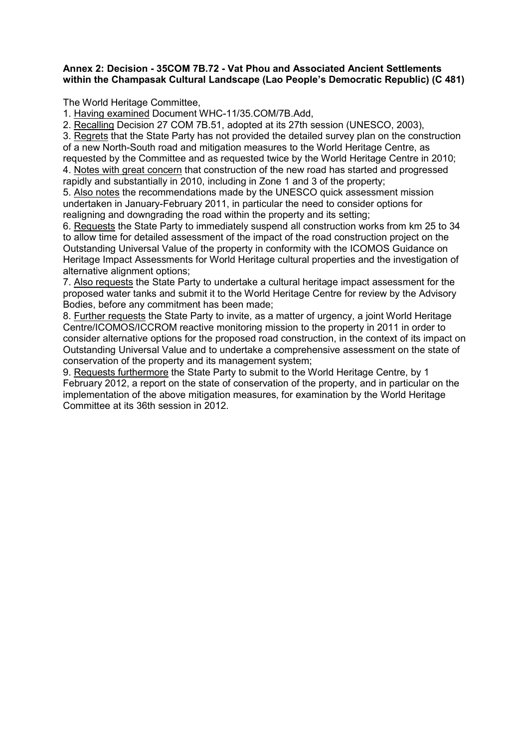#### Annex 2: Decision - 35COM 7B.72 - Vat Phou and Associated Ancient Settlements within the Champasak Cultural Landscape (Lao People's Democratic Republic) (C 481)

The World Heritage Committee,

1. Having examined Document WHC-11/35.COM/7B.Add,

2. Recalling Decision 27 COM 7B.51, adopted at its 27th session (UNESCO, 2003),

3. Regrets that the State Party has not provided the detailed survey plan on the construction of a new North-South road and mitigation measures to the World Heritage Centre, as requested by the Committee and as requested twice by the World Heritage Centre in 2010; 4. Notes with great concern that construction of the new road has started and progressed

rapidly and substantially in 2010, including in Zone 1 and 3 of the property;

5. Also notes the recommendations made by the UNESCO quick assessment mission undertaken in January-February 2011, in particular the need to consider options for realigning and downgrading the road within the property and its setting;

6. Requests the State Party to immediately suspend all construction works from km 25 to 34 to allow time for detailed assessment of the impact of the road construction project on the Outstanding Universal Value of the property in conformity with the ICOMOS Guidance on Heritage Impact Assessments for World Heritage cultural properties and the investigation of alternative alignment options;

7. Also requests the State Party to undertake a cultural heritage impact assessment for the proposed water tanks and submit it to the World Heritage Centre for review by the Advisory Bodies, before any commitment has been made;

8. Further requests the State Party to invite, as a matter of urgency, a joint World Heritage Centre/ICOMOS/ICCROM reactive monitoring mission to the property in 2011 in order to consider alternative options for the proposed road construction, in the context of its impact on Outstanding Universal Value and to undertake a comprehensive assessment on the state of conservation of the property and its management system;

9. Requests furthermore the State Party to submit to the World Heritage Centre, by 1 February 2012, a report on the state of conservation of the property, and in particular on the implementation of the above mitigation measures, for examination by the World Heritage Committee at its 36th session in 2012.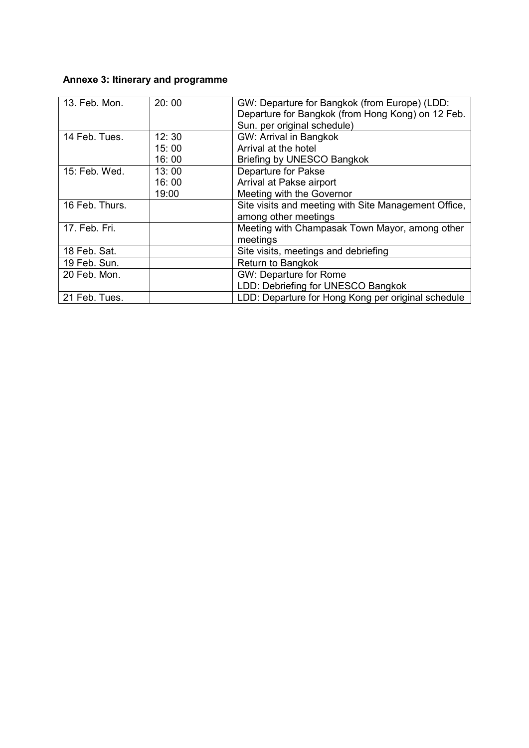## Annexe 3: Itinerary and programme

| 13. Feb. Mon.  | 20:00 | GW: Departure for Bangkok (from Europe) (LDD:<br>Departure for Bangkok (from Hong Kong) on 12 Feb.<br>Sun. per original schedule) |  |
|----------------|-------|-----------------------------------------------------------------------------------------------------------------------------------|--|
| 14 Feb. Tues.  | 12:30 | <b>GW: Arrival in Bangkok</b>                                                                                                     |  |
|                | 15:00 | Arrival at the hotel                                                                                                              |  |
|                |       |                                                                                                                                   |  |
|                | 16:00 | Briefing by UNESCO Bangkok                                                                                                        |  |
| 15: Feb. Wed.  | 13:00 | <b>Departure for Pakse</b>                                                                                                        |  |
|                | 16:00 | Arrival at Pakse airport                                                                                                          |  |
|                | 19:00 | Meeting with the Governor                                                                                                         |  |
| 16 Feb. Thurs. |       | Site visits and meeting with Site Management Office,                                                                              |  |
|                |       | among other meetings                                                                                                              |  |
| 17. Feb. Fri.  |       | Meeting with Champasak Town Mayor, among other                                                                                    |  |
|                |       | meetings                                                                                                                          |  |
| 18 Feb. Sat.   |       | Site visits, meetings and debriefing                                                                                              |  |
| 19 Feb. Sun.   |       | <b>Return to Bangkok</b>                                                                                                          |  |
| 20 Feb. Mon.   |       | <b>GW: Departure for Rome</b>                                                                                                     |  |
|                |       | LDD: Debriefing for UNESCO Bangkok                                                                                                |  |
| 21 Feb. Tues.  |       | LDD: Departure for Hong Kong per original schedule                                                                                |  |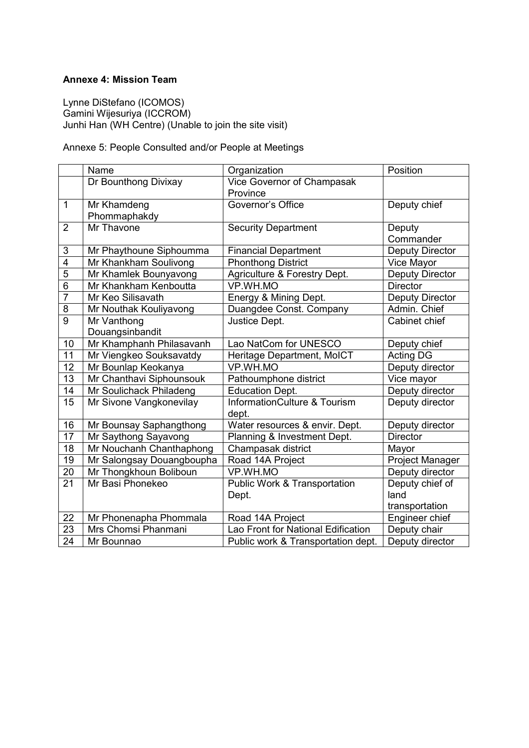## Annexe 4: Mission Team

Lynne DiStefano (ICOMOS) Gamini Wijesuriya (ICCROM) Junhi Han (WH Centre) (Unable to join the site visit)

Annexe 5: People Consulted and/or People at Meetings

|                 | Name                      | Organization                            | Position               |
|-----------------|---------------------------|-----------------------------------------|------------------------|
|                 | Dr Bounthong Divixay      | Vice Governor of Champasak              |                        |
|                 |                           | Province                                |                        |
| $\mathbf{1}$    | Mr Khamdeng               | Governor's Office                       | Deputy chief           |
|                 | Phommaphakdy              |                                         |                        |
| $\overline{2}$  | Mr Thavone                | <b>Security Department</b>              | Deputy                 |
|                 |                           |                                         | Commander              |
| 3               | Mr Phaythoune Siphoumma   | <b>Financial Department</b>             | <b>Deputy Director</b> |
| $\overline{4}$  | Mr Khankham Soulivong     | <b>Phonthong District</b>               | Vice Mayor             |
| $\overline{5}$  | Mr Khamlek Bounyavong     | Agriculture & Forestry Dept.            | <b>Deputy Director</b> |
| $\overline{6}$  | Mr Khankham Kenboutta     | VP.WH.MO                                | <b>Director</b>        |
| $\overline{7}$  | Mr Keo Silisavath         | Energy & Mining Dept.                   | <b>Deputy Director</b> |
| 8               | Mr Nouthak Kouliyavong    | Duangdee Const. Company                 | Admin. Chief           |
| $\overline{9}$  | Mr Vanthong               | Justice Dept.                           | Cabinet chief          |
|                 | Douangsinbandit           |                                         |                        |
| 10              | Mr Khamphanh Philasavanh  | Lao NatCom for UNESCO                   | Deputy chief           |
| 11              | Mr Viengkeo Souksavatdy   | Heritage Department, MoICT              | <b>Acting DG</b>       |
| $\overline{12}$ | Mr Bounlap Keokanya       | VP.WH.MO                                | Deputy director        |
| 13              | Mr Chanthavi Siphounsouk  | Pathoumphone district                   | Vice mayor             |
| 14              | Mr Soulichack Philadeng   | <b>Education Dept.</b>                  | Deputy director        |
| $\overline{15}$ | Mr Sivone Vangkonevilay   | <b>InformationCulture &amp; Tourism</b> | Deputy director        |
|                 |                           | dept.                                   |                        |
| 16              | Mr Bounsay Saphangthong   | Water resources & envir. Dept.          | Deputy director        |
| 17              | Mr Saythong Sayavong      | Planning & Investment Dept.             | <b>Director</b>        |
| 18              | Mr Nouchanh Chanthaphong  | Champasak district                      | Mayor                  |
| 19              | Mr Salongsay Douangboupha | Road 14A Project                        | Project Manager        |
| 20              | Mr Thongkhoun Boliboun    | VP.WH.MO                                | Deputy director        |
| 21              | Mr Basi Phonekeo          | <b>Public Work &amp; Transportation</b> | Deputy chief of        |
|                 |                           | Dept.                                   | land                   |
|                 |                           |                                         | transportation         |
| 22              | Mr Phonenapha Phommala    | Road 14A Project                        | Engineer chief         |
| $\overline{23}$ | Mrs Chomsi Phanmani       | Lao Front for National Edification      | Deputy chair           |
| $\overline{24}$ | Mr Bounnao                | Public work & Transportation dept.      | Deputy director        |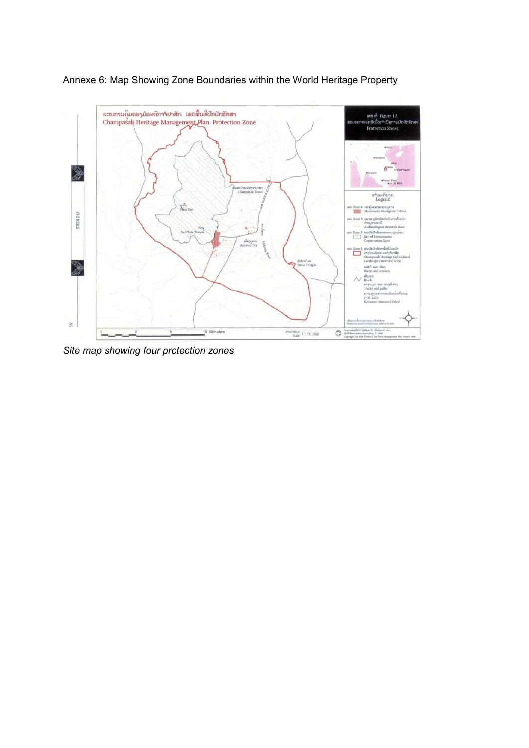

## Annexe 6: Map Showing Zone Boundaries within the World Heritage Property

*Site map showing four protection zones*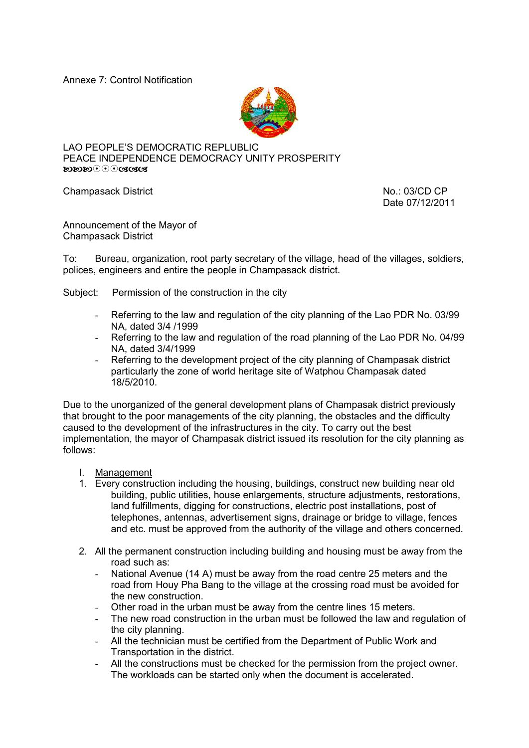Annexe 7: Control Notification



LAO PEOPLE'S DEMOCRATIC REPLUBLIC PEACE INDEPENDENCE DEMOCRACY UNITY PROSPERITY 

Champasack District No.: 03/CD CP

Date 07/12/2011

Announcement of the Mayor of Champasack District

To: Bureau, organization, root party secretary of the village, head of the villages, soldiers, polices, engineers and entire the people in Champasack district.

Subject: Permission of the construction in the city

- Referring to the law and regulation of the city planning of the Lao PDR No. 03/99 NA, dated 3/4 /1999
- Referring to the law and regulation of the road planning of the Lao PDR No. 04/99 NA, dated 3/4/1999
- Referring to the development project of the city planning of Champasak district particularly the zone of world heritage site of Watphou Champasak dated 18/5/2010.

Due to the unorganized of the general development plans of Champasak district previously that brought to the poor managements of the city planning, the obstacles and the difficulty caused to the development of the infrastructures in the city. To carry out the best implementation, the mayor of Champasak district issued its resolution for the city planning as follows:

- I. Management
- 1. Every construction including the housing, buildings, construct new building near old building, public utilities, house enlargements, structure adjustments, restorations, land fulfillments, digging for constructions, electric post installations, post of telephones, antennas, advertisement signs, drainage or bridge to village, fences and etc. must be approved from the authority of the village and others concerned.
- 2. All the permanent construction including building and housing must be away from the road such as:
	- National Avenue (14 A) must be away from the road centre 25 meters and the road from Houy Pha Bang to the village at the crossing road must be avoided for the new construction.
	- Other road in the urban must be away from the centre lines 15 meters.
	- The new road construction in the urban must be followed the law and regulation of the city planning.
	- All the technician must be certified from the Department of Public Work and Transportation in the district.
	- All the constructions must be checked for the permission from the project owner. The workloads can be started only when the document is accelerated.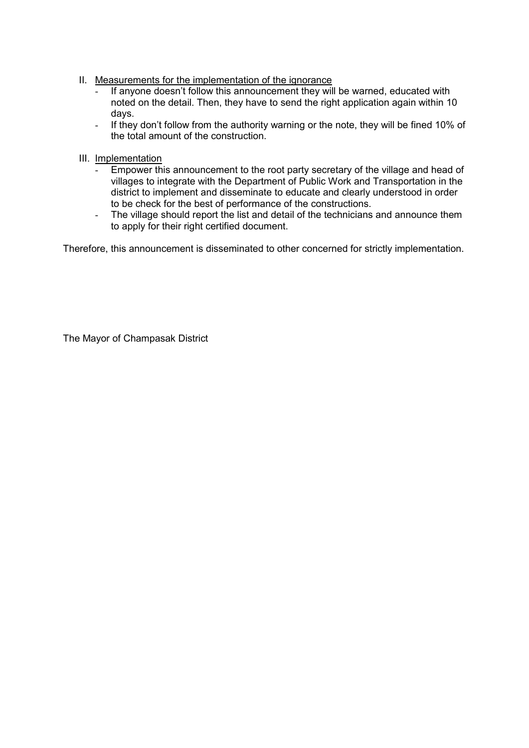- II. Measurements for the implementation of the ignorance
	- If anyone doesn't follow this announcement they will be warned, educated with noted on the detail. Then, they have to send the right application again within 10 days.
	- If they don't follow from the authority warning or the note, they will be fined 10% of the total amount of the construction.
- III. Implementation
	- Empower this announcement to the root party secretary of the village and head of villages to integrate with the Department of Public Work and Transportation in the district to implement and disseminate to educate and clearly understood in order to be check for the best of performance of the constructions.
	- The village should report the list and detail of the technicians and announce them to apply for their right certified document.

Therefore, this announcement is disseminated to other concerned for strictly implementation.

The Mayor of Champasak District